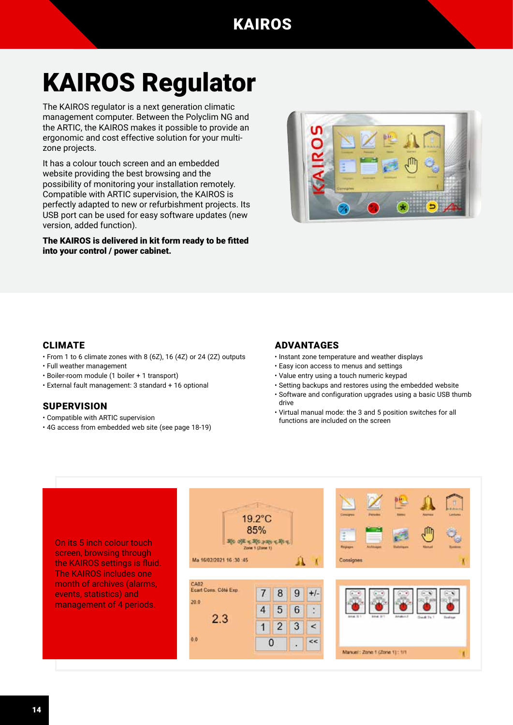# KAIROS Regulator

The KAIROS regulator is a next generation climatic management computer. Between the Polyclim NG and the ARTIC, the KAIROS makes it possible to provide an ergonomic and cost effective solution for your multizone projects.

It has a colour touch screen and an embedded website providing the best browsing and the possibility of monitoring your installation remotely. Compatible with ARTIC supervision, the KAIROS is perfectly adapted to new or refurbishment projects. Its USB port can be used for easy software updates (new version, added function).

The KAIROS is delivered in kit form ready to be fitted into your control / power cabinet.



### CLIMATE

- From 1 to 6 climate zones with 8 (6Z), 16 (4Z) or 24 (2Z) outputs
- Full weather management
- Boiler-room module (1 boiler + 1 transport)
- External fault management: 3 standard + 16 optional

#### **SUPERVISION**

- Compatible with ARTIC supervision
- 4G access from embedded web site (see page 18-19)

### ADVANTAGES

- Instant zone temperature and weather displays
- Easy icon access to menus and settings
- Value entry using a touch numeric keypad
- Setting backups and restores using the embedded website
- Software and configuration upgrades using a basic USB thumb drive
- Virtual manual mode: the 3 and 5 position switches for all functions are included on the screen